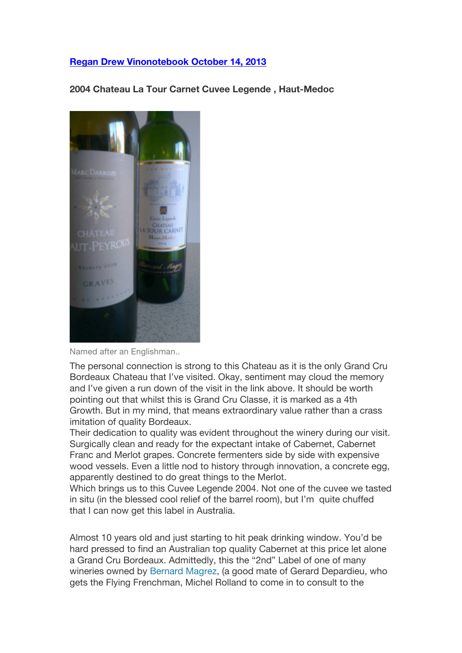## **Regan Drew Vinonotebook October 14, 2013**

**2004 Chateau La Tour Carnet Cuvee Legende , Haut-Medoc**



Named after an Englishman..

The personal connection is strong to this Chateau as it is the only Grand Cru Bordeaux Chateau that I've visited. Okay, sentiment may cloud the memory and I've given a run down of the visit in the link above. It should be worth pointing out that whilst this is Grand Cru Classe, it is marked as a 4th Growth. But in my mind, that means extraordinary value rather than a crass imitation of quality Bordeaux.

Their dedication to quality was evident throughout the winery during our visit. Surgically clean and ready for the expectant intake of Cabernet, Cabernet Franc and Merlot grapes. Concrete fermenters side by side with expensive wood vessels. Even a little nod to history through innovation, a concrete egg, apparently destined to do great things to the Merlot.

Which brings us to this Cuvee Legende 2004. Not one of the cuvee we tasted in situ (in the blessed cool relief of the barrel room), but I'm quite chuffed that I can now get this label in Australia.

Almost 10 years old and just starting to hit peak drinking window. You'd be hard pressed to find an Australian top quality Cabernet at this price let alone a Grand Cru Bordeaux. Admittedly, this the "2nd" Label of one of many wineries owned by Bernard Magrez, (a good mate of Gerard Depardieu, who gets the Flying Frenchman, Michel Rolland to come in to consult to the